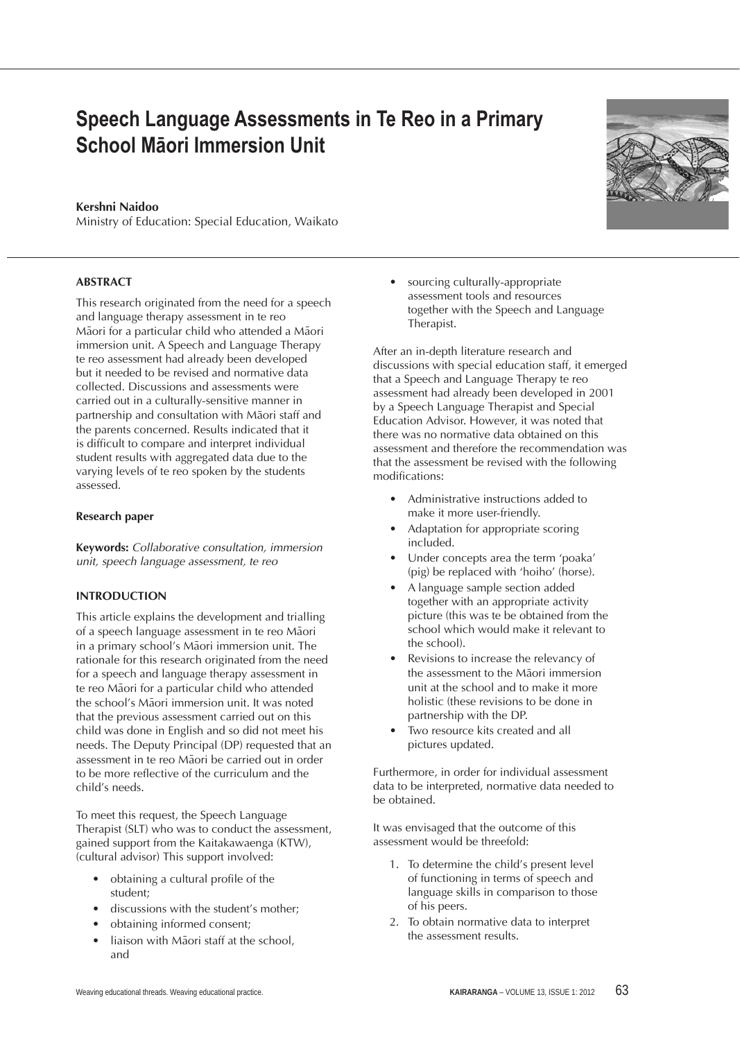# **Speech Language Assessments in Te Reo in a Primary School Māori Immersion Unit**

## **Kershni Naidoo**

Ministry of Education: Special Education, Waikato

## **Abstract**

This research originated from the need for a speech and language therapy assessment in te reo Māori for a particular child who attended a Māori immersion unit. A Speech and Language Therapy te reo assessment had already been developed but it needed to be revised and normative data collected. Discussions and assessments were carried out in a culturally-sensitive manner in partnership and consultation with Maori staff and the parents concerned. Results indicated that it is difficult to compare and interpret individual student results with aggregated data due to the varying levels of te reo spoken by the students assessed.

#### **Research paper**

**Keywords:** *Collaborative consultation, immersion unit, speech language assessment, te reo*

## **Introduction**

This article explains the development and trialling of a speech language assessment in te reo Maori in a primary school's Maori immersion unit. The rationale for this research originated from the need for a speech and language therapy assessment in te reo Maori for a particular child who attended the school's Māori immersion unit. It was noted that the previous assessment carried out on this child was done in English and so did not meet his needs. The Deputy Principal (DP) requested that an assessment in te reo Maori be carried out in order to be more reflective of the curriculum and the child's needs.

To meet this request, the Speech Language Therapist (SLT) who was to conduct the assessment, gained support from the Kaitakawaenga (KTW), (cultural advisor) This support involved:

- obtaining a cultural profile of the student;
- discussions with the student's mother;
- obtaining informed consent;
- liaison with Maori staff at the school, and

sourcing culturally-appropriate assessment tools and resources together with the Speech and Language Therapist.

After an in-depth literature research and discussions with special education staff, it emerged that a Speech and Language Therapy te reo assessment had already been developed in 2001 by a Speech Language Therapist and Special Education Advisor. However, it was noted that there was no normative data obtained on this assessment and therefore the recommendation was that the assessment be revised with the following modifications:

- Administrative instructions added to make it more user-friendly.
- Adaptation for appropriate scoring included.
- Under concepts area the term 'poaka' (pig) be replaced with 'hoiho' (horse).
- A language sample section added together with an appropriate activity picture (this was te be obtained from the school which would make it relevant to the school).
- Revisions to increase the relevancy of the assessment to the Maori immersion unit at the school and to make it more holistic (these revisions to be done in partnership with the DP.
- Two resource kits created and all pictures updated.

Furthermore, in order for individual assessment data to be interpreted, normative data needed to be obtained.

It was envisaged that the outcome of this assessment would be threefold:

- 1. To determine the child's present level of functioning in terms of speech and language skills in comparison to those of his peers.
- 2. To obtain normative data to interpret the assessment results.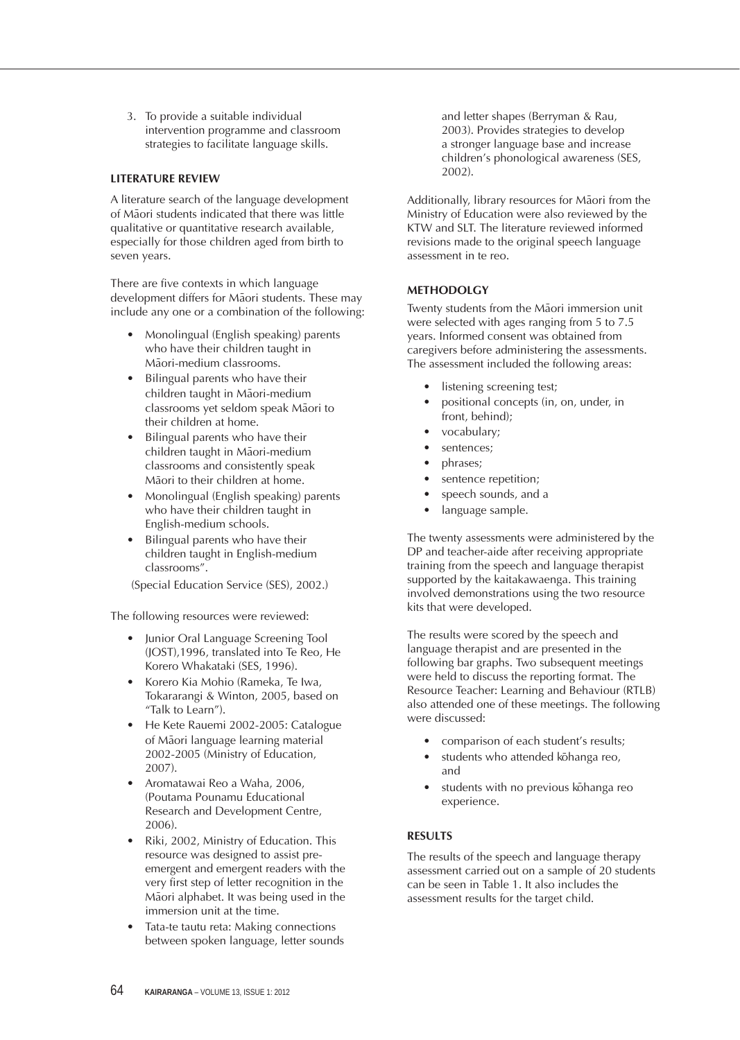3. To provide a suitable individual intervention programme and classroom strategies to facilitate language skills.

# **LITERATURE REVIEW**

A literature search of the language development of Māori students indicated that there was little qualitative or quantitative research available, especially for those children aged from birth to seven years.

There are five contexts in which language development differs for Maori students. These may include any one or a combination of the following:

- Monolingual (English speaking) parents who have their children taught in Māori-medium classrooms.
- Bilingual parents who have their children taught in Māori-medium classrooms yet seldom speak Māori to their children at home.
- Bilingual parents who have their children taught in Māori-medium classrooms and consistently speak Maori to their children at home.
- Monolingual (English speaking) parents who have their children taught in English-medium schools.
- Bilingual parents who have their children taught in English-medium classrooms".

(Special Education Service (SES), 2002.)

The following resources were reviewed:

- Junior Oral Language Screening Tool (JOST),1996, translated into Te Reo, He Korero Whakataki (SES, 1996).
- Korero Kia Mohio (Rameka, Te Iwa, Tokararangi & Winton, 2005, based on "Talk to Learn").
- • He Kete Rauemi 2002-2005: Catalogue of Māori language learning material 2002-2005 (Ministry of Education, 2007).
- Aromatawai Reo a Waha, 2006, (Poutama Pounamu Educational Research and Development Centre, 2006).
- Riki, 2002, Ministry of Education. This resource was designed to assist preemergent and emergent readers with the very first step of letter recognition in the Māori alphabet. It was being used in the immersion unit at the time.
- Tata-te tautu reta: Making connections between spoken language, letter sounds

and letter shapes (Berryman & Rau, 2003). Provides strategies to develop a stronger language base and increase children's phonological awareness (SES, 2002).

Additionally, library resources for Maori from the Ministry of Education were also reviewed by the KTW and SLT. The literature reviewed informed revisions made to the original speech language assessment in te reo.

## **METHODOLGY**

Twenty students from the Maori immersion unit were selected with ages ranging from 5 to 7.5 years. Informed consent was obtained from caregivers before administering the assessments. The assessment included the following areas:

- listening screening test;
- positional concepts (in, on, under, in front, behind);
- vocabulary;
- sentences;
- phrases;
- sentence repetition;
- speech sounds, and a
- language sample.

The twenty assessments were administered by the DP and teacher-aide after receiving appropriate training from the speech and language therapist supported by the kaitakawaenga. This training involved demonstrations using the two resource kits that were developed.

The results were scored by the speech and language therapist and are presented in the following bar graphs. Two subsequent meetings were held to discuss the reporting format. The Resource Teacher: Learning and Behaviour (RTLB) also attended one of these meetings. The following were discussed:

- comparison of each student's results;
- students who attended kohanga reo, and
- students with no previous kohanga reo experience.

## **results**

The results of the speech and language therapy assessment carried out on a sample of 20 students can be seen in Table 1. It also includes the assessment results for the target child.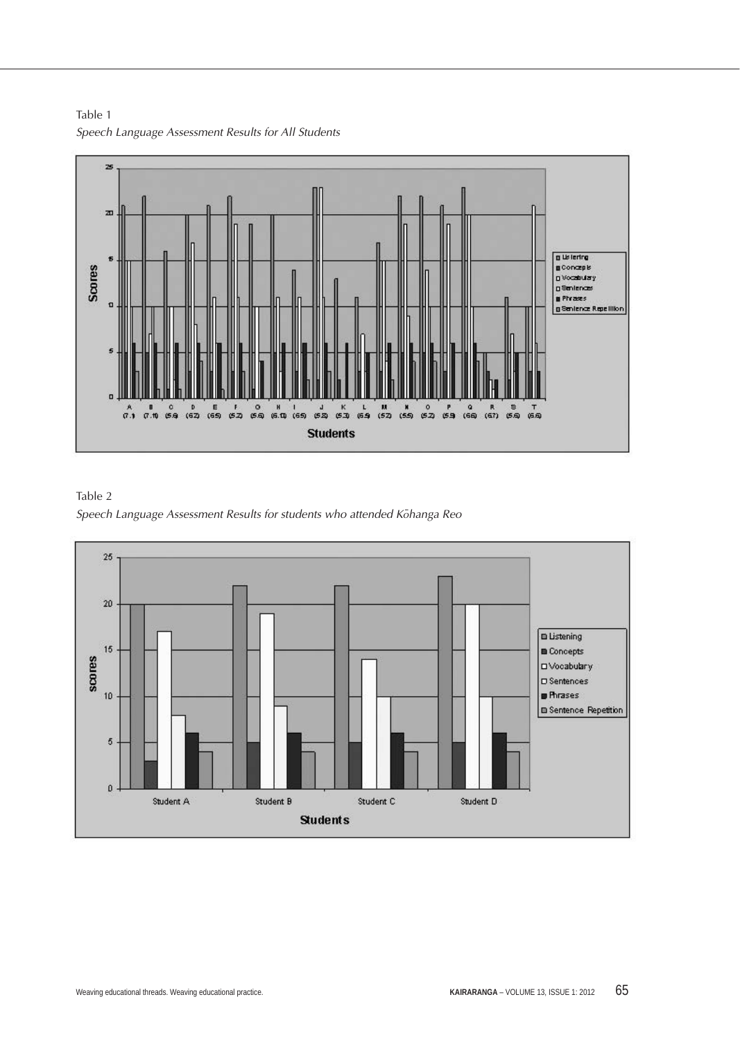

Table 1 *Speech Language Assessment Results for All Students*

Table 2 Speech Language Assessment Results for students who attended Kohanga Reo

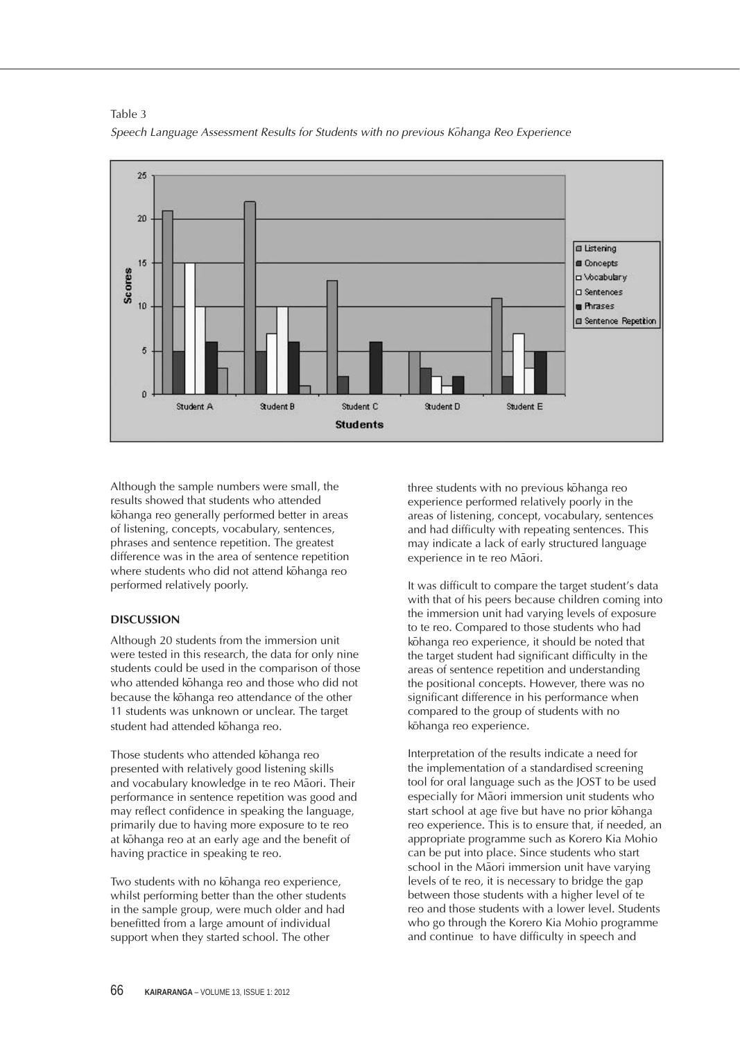

Table 3 Speech Language Assessment Results for Students with no previous Kohanga Reo Experience

Although the sample numbers were small, the results showed that students who attended kōhanga reo generally performed better in areas of listening, concepts, vocabulary, sentences, phrases and sentence repetition. The greatest difference was in the area of sentence repetition where students who did not attend kohanga reo performed relatively poorly.

## **DISCUSSION**

Although 20 students from the immersion unit were tested in this research, the data for only nine students could be used in the comparison of those who attended kohanga reo and those who did not because the kohanga reo attendance of the other 11 students was unknown or unclear. The target student had attended kohanga reo.

Those students who attended kohanga reo presented with relatively good listening skills and vocabulary knowledge in te reo Maori. Their performance in sentence repetition was good and may reflect confidence in speaking the language, primarily due to having more exposure to te reo at kohanga reo at an early age and the benefit of having practice in speaking te reo.

Two students with no kohanga reo experience, whilst performing better than the other students in the sample group, were much older and had benefitted from a large amount of individual support when they started school. The other

three students with no previous kohanga reo experience performed relatively poorly in the areas of listening, concept, vocabulary, sentences and had difficulty with repeating sentences. This may indicate a lack of early structured language experience in te reo Māori.

It was difficult to compare the target student's data with that of his peers because children coming into the immersion unit had varying levels of exposure to te reo. Compared to those students who had kohanga reo experience, it should be noted that the target student had significant difficulty in the areas of sentence repetition and understanding the positional concepts. However, there was no significant difference in his performance when compared to the group of students with no kohanga reo experience.

Interpretation of the results indicate a need for the implementation of a standardised screening tool for oral language such as the JOST to be used especially for Māori immersion unit students who start school at age five but have no prior kohanga reo experience. This is to ensure that, if needed, an appropriate programme such as Korero Kia Mohio can be put into place. Since students who start school in the Maori immersion unit have varying levels of te reo, it is necessary to bridge the gap between those students with a higher level of te reo and those students with a lower level. Students who go through the Korero Kia Mohio programme and continue to have difficulty in speech and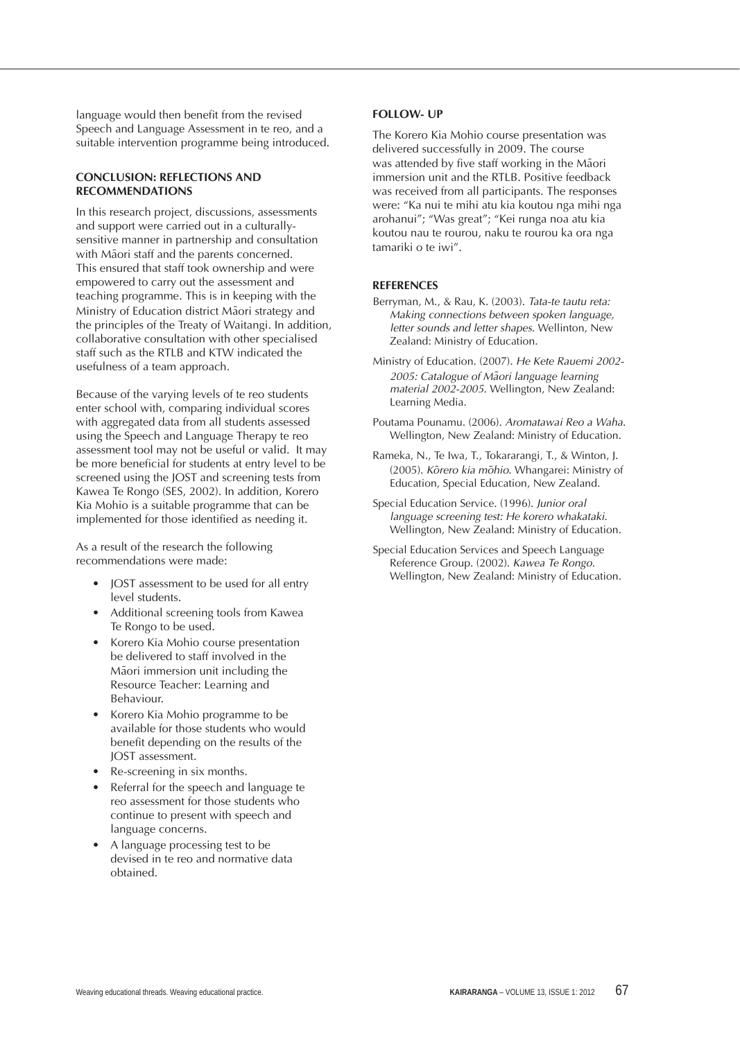language would then benefit from the revised Speech and Language Assessment in te reo, and a suitable intervention programme being introduced.

## **CONCLUSION: REFLECTIONS AND RECOMMENDATIONS**

In this research project, discussions, assessments and support were carried out in a culturallysensitive manner in partnership and consultation with Maori staff and the parents concerned. This ensured that staff took ownership and were empowered to carry out the assessment and teaching programme. This is in keeping with the Ministry of Education district Maori strategy and the principles of the Treaty of Waitangi. In addition, collaborative consultation with other specialised staff such as the RTLB and KTW indicated the usefulness of a team approach.

Because of the varying levels of te reo students enter school with, comparing individual scores with aggregated data from all students assessed using the Speech and Language Therapy te reo assessment tool may not be useful or valid. It may be more beneficial for students at entry level to be screened using the JOST and screening tests from Kawea Te Rongo (SES, 2002). In addition, Korero Kia Mohio is a suitable programme that can be implemented for those identified as needing it.

As a result of the research the following recommendations were made:

- JOST assessment to be used for all entry level students.
- Additional screening tools from Kawea Te Rongo to be used.
- Korero Kia Mohio course presentation be delivered to staff involved in the Maori immersion unit including the Resource Teacher: Learning and Behaviour.
- Korero Kia Mohio programme to be available for those students who would benefit depending on the results of the JOST assessment.
- Re-screening in six months.
- Referral for the speech and language te reo assessment for those students who continue to present with speech and language concerns.
- A language processing test to be devised in te reo and normative data obtained.

## **FOLLOW- UP**

The Korero Kia Mohio course presentation was delivered successfully in 2009. The course was attended by five staff working in the Maori immersion unit and the RTLB. Positive feedback was received from all participants. The responses were: "Ka nui te mihi atu kia koutou nga mihi nga arohanui"; "Was great"; "Kei runga noa atu kia koutou nau te rourou, naku te rourou ka ora nga tamariki o te iwi".

# **References**

- Berryman, M., & Rau, K. (2003). *Tata-te tautu reta: Making connections between spoken language, letter sounds and letter shapes.* Wellinton, New Zealand: Ministry of Education.
- Ministry of Education. (2007). *He Kete Rauemi 2002-* 2005: Catalogue of Maori language learning *material 2002-2005*. Wellington, New Zealand: Learning Media.
- Poutama Pounamu. (2006). *Aromatawai Reo a Waha*. Wellington, New Zealand: Ministry of Education.
- Rameka, N., Te Iwa, T., Tokararangi, T., & Winton, J. (2005). Korero kia mohio. Whangarei: Ministry of Education, Special Education, New Zealand.
- Special Education Service. (1996). *Junior oral language screening test: He korero whakataki.*  Wellington, New Zealand: Ministry of Education.
- Special Education Services and Speech Language Reference Group. (2002). *Kawea Te Rongo.* Wellington, New Zealand: Ministry of Education.